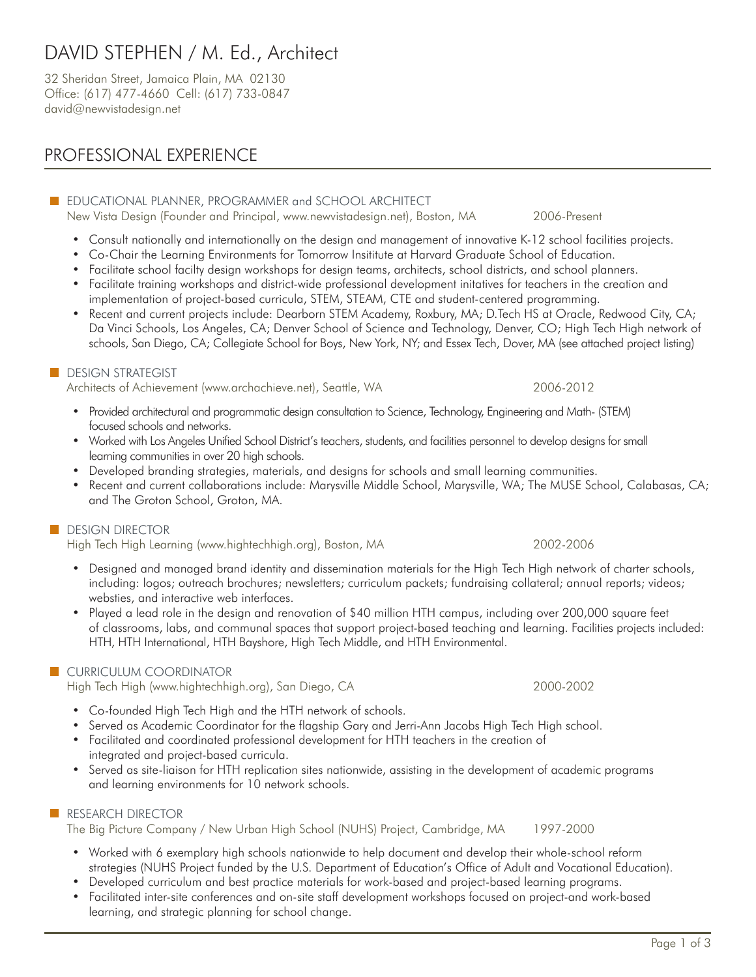# DAVID STEPHEN / M. Ed., Architect

32 Sheridan Street, Jamaica Plain, MA 02130 Office: (617) 477-4660 Cell: (617) 733-0847 david@newvistadesign.net

# PROFESSIONAL EXPERIENCE

## **EDUCATIONAL PLANNER, PROGRAMMER and SCHOOL ARCHITECT**

New Vista Design (Founder and Principal, www.newvistadesign.net), Boston, MA 2006-Present

- Consult nationally and internationally on the design and management of innovative K-12 school facilities projects.
- Co-Chair the Learning Environments for Tomorrow Insititute at Harvard Graduate School of Education.
- Facilitate school facilty design workshops for design teams, architects, school districts, and school planners.
- Facilitate training workshops and district-wide professional development initatives for teachers in the creation and implementation of project-based curricula, STEM, STEAM, CTE and student-centered programming.
- Recent and current projects include: Dearborn STEM Academy, Roxbury, MA; D.Tech HS at Oracle, Redwood City, CA; Da Vinci Schools, Los Angeles, CA; Denver School of Science and Technology, Denver, CO; High Tech High network of schools, San Diego, CA; Collegiate School for Boys, New York, NY; and Essex Tech, Dover, MA (see attached project listing)

### **DESIGN STRATEGIST**

Architects of Achievement (www.archachieve.net), Seattle, WA 2006-2012

- Provided architectural and programmatic design consultation to Science, Technology, Engineering and Math- (STEM) focused schools and networks.
- Worked with Los Angeles Unified School District's teachers, students, and facilities personnel to develop designs for small learning communities in over 20 high schools.
- Developed branding strategies, materials, and designs for schools and small learning communities.
- Recent and current collaborations include: Marysville Middle School, Marysville, WA; The MUSE School, Calabasas, CA; and The Groton School, Groton, MA.

### **DESIGN DIRECTOR**

High Tech High Learning (www.hightechhigh.org), Boston, MA 2002-2006

- Designed and managed brand identity and dissemination materials for the High Tech High network of charter schools, including: logos; outreach brochures; newsletters; curriculum packets; fundraising collateral; annual reports; videos; websties, and interactive web interfaces.
- Played a lead role in the design and renovation of \$40 million HTH campus, including over 200,000 square feet of classrooms, labs, and communal spaces that support project-based teaching and learning. Facilities projects included: HTH, HTH International, HTH Bayshore, High Tech Middle, and HTH Environmental.

### **CURRICULUM COORDINATOR**

High Tech High (www.hightechhigh.org), San Diego, CA 2000-2002

- Co-founded High Tech High and the HTH network of schools.
- Served as Academic Coordinator for the flagship Gary and Jerri-Ann Jacobs High Tech High school.
- Facilitated and coordinated professional development for HTH teachers in the creation of integrated and project-based curricula.
- Served as site-liaison for HTH replication sites nationwide, assisting in the development of academic programs and learning environments for 10 network schools.

### **RESEARCH DIRECTOR**

The Big Picture Company / New Urban High School (NUHS) Project, Cambridge, MA 1997-2000

- Worked with 6 exemplary high schools nationwide to help document and develop their whole-school reform strategies (NUHS Project funded by the U.S. Department of Education's Office of Adult and Vocational Education).
- Developed curriculum and best practice materials for work-based and project-based learning programs.
- Facilitated inter-site conferences and on-site staff development workshops focused on project-and work-based learning, and strategic planning for school change.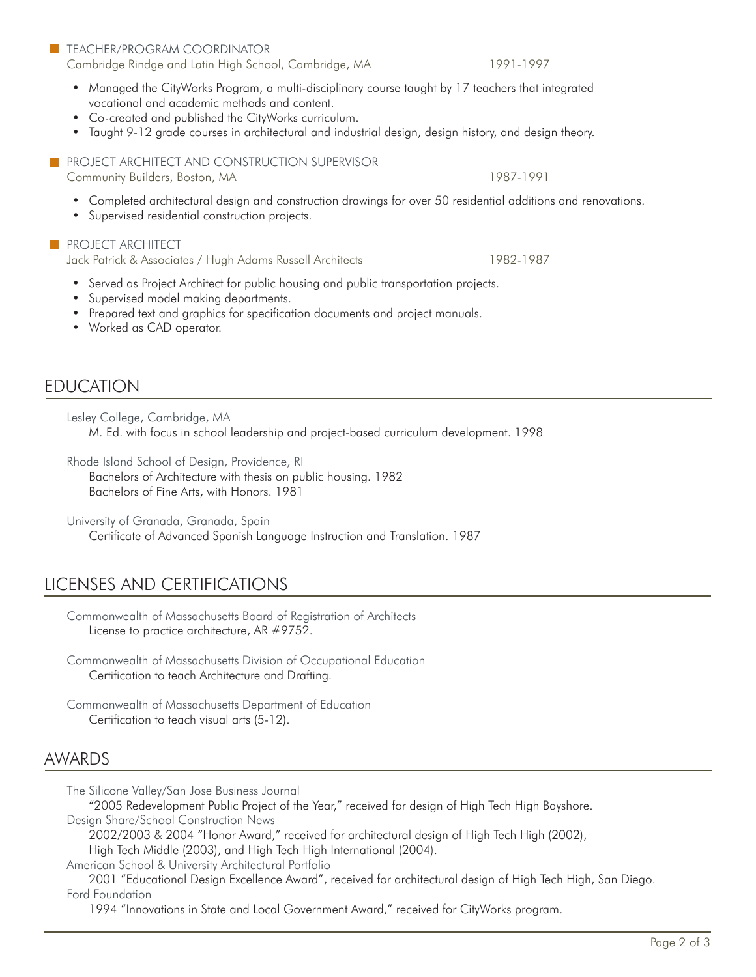#### **TEACHER/PROGRAM COORDINATOR** Cambridge Rindge and Latin High School, Cambridge, MA 1991-1997

• Managed the CityWorks Program, a multi-disciplinary course taught by 17 teachers that integrated vocational and academic methods and content.

- Co-created and published the CityWorks curriculum.
- Taught 9-12 grade courses in architectural and industrial design, design history, and design theory.

**PROJECT ARCHITECT AND CONSTRUCTION SUPERVISOR** Community Builders, Boston, MA 1987-1991

- Completed architectural design and construction drawings for over 50 residential additions and renovations.
- Supervised residential construction projects.

#### **PROJECT ARCHITECT**

Jack Patrick & Associates / Hugh Adams Russell Architects 1982-1987

- Served as Project Architect for public housing and public transportation projects.
- Supervised model making departments.
- Prepared text and graphics for specification documents and project manuals.
- Worked as CAD operator.

# EDUCATION

Lesley College, Cambridge, MA

M. Ed. with focus in school leadership and project-based curriculum development. 1998

Rhode Island School of Design, Providence, RI

Bachelors of Architecture with thesis on public housing. 1982 Bachelors of Fine Arts, with Honors. 1981

University of Granada, Granada, Spain

Certificate of Advanced Spanish Language Instruction and Translation. 1987

# LICENSES AND CERTIFICATIONS

Commonwealth of Massachusetts Board of Registration of Architects License to practice architecture, AR #9752.

Commonwealth of Massachusetts Division of Occupational Education Certification to teach Architecture and Drafting.

Commonwealth of Massachusetts Department of Education Certification to teach visual arts (5-12).

## AWARDS

The Silicone Valley/San Jose Business Journal

"2005 Redevelopment Public Project of the Year," received for design of High Tech High Bayshore. Design Share/School Construction News

2002/2003 & 2004 "Honor Award," received for architectural design of High Tech High (2002),

High Tech Middle (2003), and High Tech High International (2004).

American School & University Architectural Portfolio

2001 "Educational Design Excellence Award", received for architectural design of High Tech High, San Diego. Ford Foundation

1994 "Innovations in State and Local Government Award," received for CityWorks program.